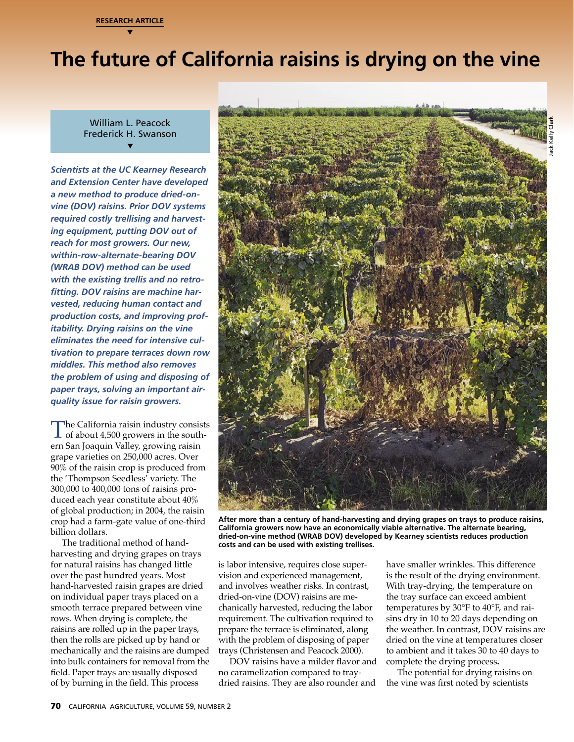

# **The future of California raisins is drying on the vine**

William L. Peacock Frederick H. Swanson ▼

*Scientists at the UC Kearney Research and Extension Center have developed a new method to produce dried-onvine (DOV) raisins. Prior DOV systems required costly trellising and harvesting equipment, putting DOV out of reach for most growers. Our new, within-row-alternate-bearing DOV (WRAB DOV) method can be used with the existing trellis and no retrofitting. DOV raisins are machine harvested, reducing human contact and production costs, and improving profitability. Drying raisins on the vine eliminates the need for intensive cultivation to prepare terraces down row middles. This method also removes the problem of using and disposing of paper trays, solving an important airquality issue for raisin growers.*

The California raisin industry consists<br>
of about 4,500 growers in the south-<br>
orn San Joaquin Valloy, growing raisin ern San Joaquin Valley, growing raisin grape varieties on 250,000 acres. Over 90% of the raisin crop is produced from the 'Thompson Seedless' variety. The 300,000 to 400,000 tons of raisins produced each year constitute about 40% of global production; in 2004, the raisin crop had a farm-gate value of one-third billion dollars.

hand-harvested raisin grapes are dried and involves weather risks. In contrast,<br>on individual paper trays placed on a dried-on-vine (DOV) raisins are me-<br>the tray surface can exceed ambient smooth terrace prepared between The traditional method of handharvesting and drying grapes on trays for natural raisins has changed little over the past hundred years. Most hand-harvested raisin grapes are dried on individual paper trays placed on a smooth terrace prepared between vine rows. When drying is complete, the raisins are rolled up in the paper trays, then the rolls are picked up by hand or mechanically and the raisins are dumped into bulk containers for removal from the field. Paper trays are usually disposed of by burning in the field. This process



**After more than a century of hand-harvesting and drying grapes on trays to produce raisins, California growers now have an economically viable alternative. The alternate bearing, dried-on-vine method (WRAB DOV) developed by Kearney scientists reduces production costs and can be used with existing trellises.**

is labor intensive, requires close supervision and experienced management, and involves weather risks. In contrast, dried-on-vine (DOV) raisins are mechanically harvested, reducing the labor requirement. The cultivation required to prepare the terrace is eliminated, along with the problem of disposing of paper trays (Christensen and Peacock 2000).

DOV raisins have a milder flavor and no caramelization compared to traydried raisins. They are also rounder and

have smaller wrinkles. This difference is the result of the drying environment. With tray-drying, the temperature on the tray surface can exceed ambient temperatures by 30°F to 40°F, and raisins dry in 10 to 20 days depending on the weather. In contrast, DOV raisins are dried on the vine at temperatures closer to ambient and it takes 30 to 40 days to complete the drying process**.** 

The potential for drying raisins on the vine was first noted by scientists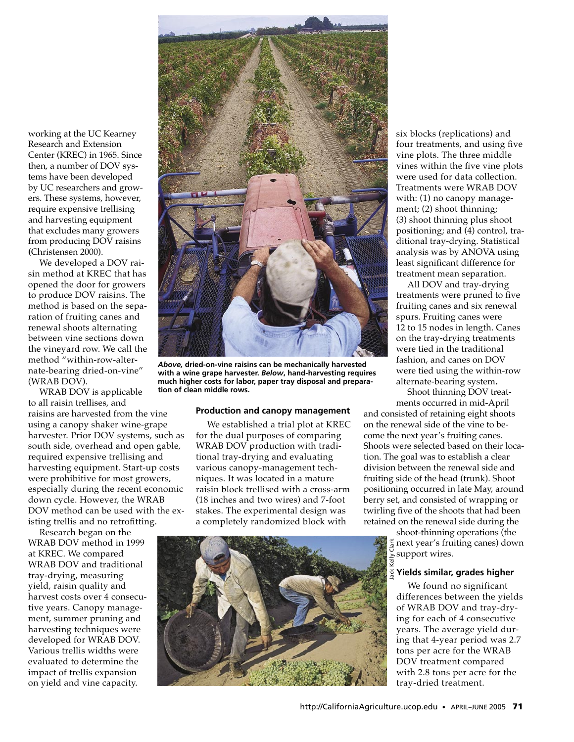working at the UC Kearney Research and Extension Center (KREC) in 1965. Since then, a number of DOV systems have been developed by UC researchers and growers. These systems, however, require expensive trellising and harvesting equipment that excludes many growers from producing DOV raisins **(**Christensen 2000).

We developed a DOV raisin method at KREC that has opened the door for growers to produce DOV raisins. The method is based on the separation of fruiting canes and renewal shoots alternating between vine sections down the vineyard row. We call the method "within-row-alternate-bearing dried-on-vine" (WRAB DOV).

WRAB DOV is applicable to all raisin trellises, and raisins are harvested from the vine using a canopy shaker wine-grape harvester. Prior DOV systems, such as south side, overhead and open gable, required expensive trellising and harvesting equipment. Start-up costs were prohibitive for most growers, especially during the recent economic down cycle. However, the WRAB DOV method can be used with the existing trellis and no retrofitting.

Research began on the WRAB DOV method in 1999 at KREC. We compared WRAB DOV and traditional tray-drying, measuring yield, raisin quality and harvest costs over 4 consecutive years. Canopy management, summer pruning and harvesting techniques were developed for WRAB DOV. Various trellis widths were evaluated to determine the impact of trellis expansion on yield and vine capacity.



*Above,* **dried-on-vine raisins can be mechanically harvested with a wine grape harvester.** *Below***, hand-harvesting requires much higher costs for labor, paper tray disposal and preparation of clean middle rows.**

### **Production and canopy management**

We established a trial plot at KREC for the dual purposes of comparing WRAB DOV production with traditional tray-drying and evaluating various canopy-management techniques. It was located in a mature raisin block trellised with a cross-arm (18 inches and two wires) and 7-foot stakes. The experimental design was a completely randomized block with

six blocks (replications) and four treatments, and using five vine plots. The three middle vines within the five vine plots were used for data collection. Treatments were WRAB DOV with: (1) no canopy management; (2) shoot thinning; (3) shoot thinning plus shoot positioning; and (4) control, traditional tray-drying. Statistical analysis was by ANOVA using least significant difference for treatment mean separation.

All DOV and tray-drying treatments were pruned to five fruiting canes and six renewal spurs. Fruiting canes were 12 to 15 nodes in length. Canes on the tray-drying treatments were tied in the traditional fashion, and canes on DOV were tied using the within-row alternate-bearing system**.**

Shoot thinning DOV treatments occurred in mid-April

and consisted of retaining eight shoots on the renewal side of the vine to become the next year's fruiting canes. Shoots were selected based on their location. The goal was to establish a clear division between the renewal side and fruiting side of the head (trunk). Shoot positioning occurred in late May, around berry set, and consisted of wrapping or twirling five of the shoots that had been retained on the renewal side during the

> shoot-thinning operations (the next year's fruiting canes) down support wires.

# **Yields similar, grades higher**

We found no significant differences between the yields of WRAB DOV and tray-drying for each of 4 consecutive years. The average yield during that 4-year period was 2.7 tons per acre for the WRAB DOV treatment compared with 2.8 tons per acre for the tray-dried treatment.

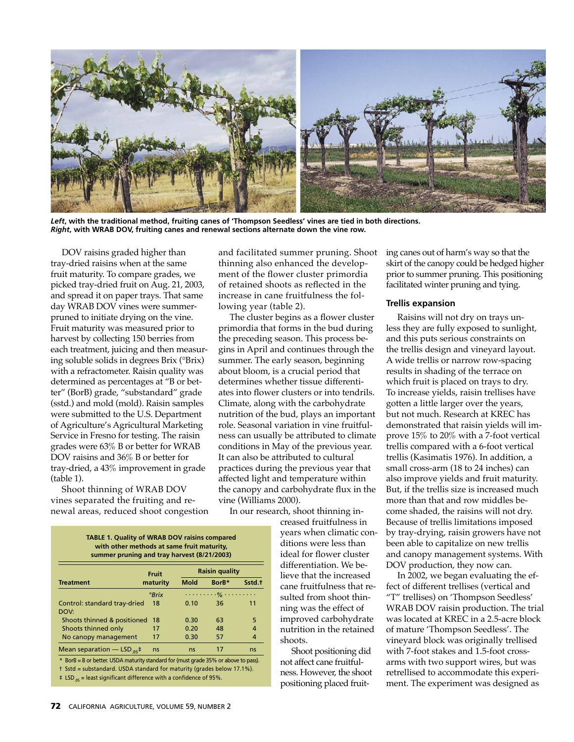

*Left***, with the traditional method, fruiting canes of 'Thompson Seedless' vines are tied in both directions.**  *Right***, with WRAB DOV, fruiting canes and renewal sections alternate down the vine row.**

DOV raisins graded higher than tray-dried raisins when at the same fruit maturity. To compare grades, we picked tray-dried fruit on Aug. 21, 2003, and spread it on paper trays. That same day WRAB DOV vines were summerpruned to initiate drying on the vine. Fruit maturity was measured prior to harvest by collecting 150 berries from each treatment, juicing and then measuring soluble solids in degrees Brix (°Brix) with a refractometer. Raisin quality was determined as percentages at "B or better" (BorB) grade, "substandard" grade (sstd.) and mold (mold). Raisin samples were submitted to the U.S. Department of Agriculture's Agricultural Marketing Service in Fresno for testing. The raisin grades were 63% B or better for WRAB DOV raisins and 36% B or better for tray-dried, a 43% improvement in grade (table 1).

Shoot thinning of WRAB DOV vines separated the fruiting and renewal areas, reduced shoot congestion and facilitated summer pruning. Shoot thinning also enhanced the development of the flower cluster primordia of retained shoots as reflected in the increase in cane fruitfulness the following year (table 2).

The cluster begins as a flower cluster primordia that forms in the bud during the preceding season. This process begins in April and continues through the summer. The early season, beginning about bloom, is a crucial period that determines whether tissue differentiates into flower clusters or into tendrils. Climate, along with the carbohydrate nutrition of the bud, plays an important role. Seasonal variation in vine fruitfulness can usually be attributed to climate conditions in May of the previous year. It can also be attributed to cultural practices during the previous year that affected light and temperature within the canopy and carbohydrate flux in the vine (Williams 2000).

In our research, shoot thinning in-

creased fruitfulness in years when climatic conditions were less than ideal for flower cluster differentiation. We believe that the increased cane fruitfulness that resulted from shoot thinning was the effect of improved carbohydrate nutrition in the retained shoots.

Shoot positioning did not affect cane fruitfulness. However, the shoot positioning placed fruiting canes out of harm's way so that the skirt of the canopy could be hedged higher prior to summer pruning. This positioning facilitated winter pruning and tying.

# **Trellis expansion**

Raisins will not dry on trays unless they are fully exposed to sunlight, and this puts serious constraints on the trellis design and vineyard layout. A wide trellis or narrow row-spacing results in shading of the terrace on which fruit is placed on trays to dry. To increase yields, raisin trellises have gotten a little larger over the years, but not much. Research at KREC has demonstrated that raisin yields will improve 15% to 20% with a 7-foot vertical trellis compared with a 6-foot vertical trellis (Kasimatis 1976). In addition, a small cross-arm (18 to 24 inches) can also improve yields and fruit maturity. But, if the trellis size is increased much more than that and row middles become shaded, the raisins will not dry. Because of trellis limitations imposed by tray-drying, raisin growers have not been able to capitalize on new trellis and canopy management systems. With DOV production, they now can.

**Teatment**<br> **Examples the standard tray-dried and the standard tray-dried 18 0.10 36 11<br>
2007 36 11<br>
2007 36 11<br>
2007 36 11<br>
2007 36 11<br>
2007 36 11<br>
2007 4 impy was the effect of WRAB DOV raisin production. The trial<br>
200** In 2002, we began evaluating the effect of different trellises (vertical and "T" trellises) on 'Thompson Seedless' WRAB DOV raisin production. The trial was located at KREC in a 2.5-acre block of mature 'Thompson Seedless'. The vineyard block was originally trellised with 7-foot stakes and 1.5-foot crossarms with two support wires, but was retrellised to accommodate this experiment. The experiment was designed as

**TABLE 1. Quality of WRAB DOV raisins compared with other methods at same fruit maturity, summer pruning and tray harvest (8/21/2003) Fruit Raisin quality Treatment maturity Mold BorB\* Sstd.†** *°Brix . . . . . . . . .% . . . . . . . . .* Control: standard tray-dried 18 0.10 36 11 DOV: Shoots thinned & positioned 18 0.30 63 5 Shoots thinned only 17 0.20 48 4 No canopy management 17 0.30 57 4 Mean separation — LSD  $_{05}$ <sup>‡</sup> ns ns 17 ns

\* BorB = B or better. USDA maturity standard for (must grade 35% or above to pass).

† Sstd = substandard. USDA standard for maturity (grades below 17.1%).

 $\pm$  LSD<sub>05</sub> = least significant difference with a confidence of 95%.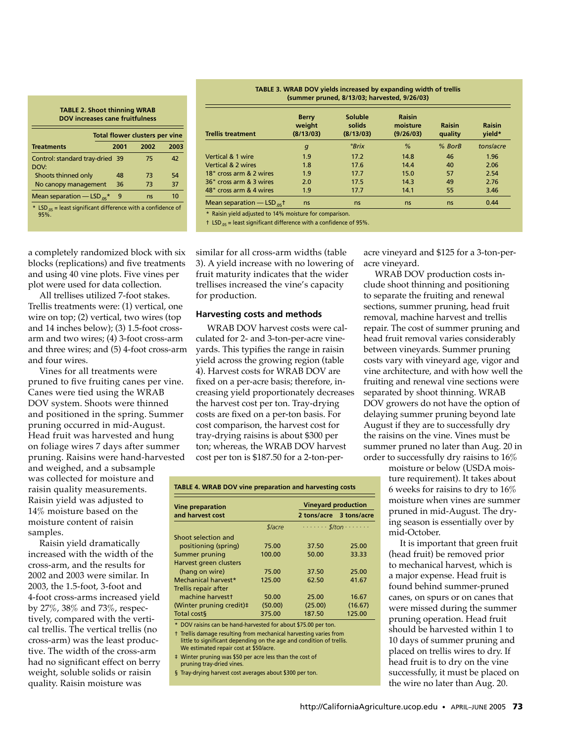#### **TABLE 2. Shoot thinning WRAB DOV increases cane fruitfulness**

|                                                                            | <b>Total flower clusters per vine</b> |      |      |  |  |
|----------------------------------------------------------------------------|---------------------------------------|------|------|--|--|
| <b>Treatments</b>                                                          | 2001                                  | 2002 | 2003 |  |  |
| Control: standard tray-dried 39<br>DOV:                                    |                                       | 75   | 42   |  |  |
| Shoots thinned only                                                        | 48                                    | 73   | 54   |  |  |
| No canopy management                                                       | 36                                    | 73   | 37   |  |  |
| Mean separation $-$ LSD $_{05}$ *                                          | 9                                     | ns   | 10   |  |  |
| * LSD $_{.05}$ = least significant difference with a confidence of<br>95%. |                                       |      |      |  |  |

**TABLE 3. WRAB DOV yields increased by expanding width of trellis (summer pruned, 8/13/03; harvested, 9/26/03)**

| <b>Trellis treatment</b>          | <b>Berry</b><br>weight<br>(8/13/03) | Soluble<br>solids<br>(8/13/03) | <b>Raisin</b><br>moisture<br>(9/26/03) | <b>Raisin</b><br>quality | <b>Raisin</b><br>yield* |
|-----------------------------------|-------------------------------------|--------------------------------|----------------------------------------|--------------------------|-------------------------|
|                                   | $\boldsymbol{g}$                    | °Brix                          | %                                      | $%$ BorB                 | tons/acre               |
| Vertical & 1 wire                 | 1.9                                 | 17.2                           | 14.8                                   | 46                       | 1.96                    |
| Vertical & 2 wires                | 1.8                                 | 17.6                           | 14.4                                   | 40                       | 2.06                    |
| 18" cross arm & 2 wires           | 1.9                                 | 17.7                           | 15.0                                   | 57                       | 2.54                    |
| 36" cross arm & 3 wires           | 2.0                                 | 17.5                           | 14.3                                   | 49                       | 2.76                    |
| 48" cross arm & 4 wires           | 1.9                                 | 17.7                           | 14.1                                   | 55                       | 3.46                    |
| Mean separation $-$ LSD $_{05}$ + | ns                                  | ns                             | ns                                     | ns                       | 0.44                    |

\* Raisin yield adjusted to 14% moisture for comparison.

 $\dagger$  LSD<sub>.05</sub> = least significant difference with a confidence of 95%.

a completely randomized block with six blocks (replications) and five treatments and using 40 vine plots. Five vines per plot were used for data collection.

All trellises utilized 7-foot stakes. Trellis treatments were: (1) vertical, one wire on top; (2) vertical, two wires (top and 14 inches below); (3) 1.5-foot crossarm and two wires; (4) 3-foot cross-arm and three wires; and (5) 4-foot cross-arm and four wires.

Vines for all treatments were pruned to five fruiting canes per vine. Canes were tied using the WRAB DOV system. Shoots were thinned and positioned in the spring. Summer pruning occurred in mid-August. Head fruit was harvested and hung on foliage wires 7 days after summer pruning. Raisins were hand-harvested

and weighed, and a subsample was collected for moisture and raisin quality measurements. Raisin yield was adjusted to 14% moisture based on the moisture content of raisin samples.

2003, the 1.5–foot, 3–foot and<br>  $\pm$  4–foot cross-arms increased yield mathic harvestes (and the monitor properties).<br>
by 27%, 38% and 73%, respectively compared with the verti-<br>
by 27%, 38% and 73%, respectively compared Raisin yield dramatically increased with the width of the cross-arm, and the results for 2002 and 2003 were similar. In 2003, the 1.5-foot, 3-foot and 4-foot cross-arms increased yield by 27%, 38% and 73%, respectively, compared with the vertical trellis. The vertical trellis (no cross-arm) was the least productive. The width of the cross-arm had no significant effect on berry weight, soluble solids or raisin quality. Raisin moisture was

similar for all cross-arm widths (table 3). A yield increase with no lowering of fruit maturity indicates that the wider trellises increased the vine's capacity for production.

# **Harvesting costs and methods**

WRAB DOV harvest costs were calculated for 2- and 3-ton-per-acre vineyards. This typifies the range in raisin yield across the growing region (table 4). Harvest costs for WRAB DOV are fixed on a per-acre basis; therefore, increasing yield proportionately decreases the harvest cost per ton. Tray-drying costs are fixed on a per-ton basis. For cost comparison, the harvest cost for tray-drying raisins is about \$300 per ton; whereas, the WRAB DOV harvest cost per ton is \$187.50 for a 2-ton-per-

| <b>Vine preparation</b>  |                       | <b>Vineyard production</b> |                                              |  |
|--------------------------|-----------------------|----------------------------|----------------------------------------------|--|
| and harvest cost         |                       | 2 tons/acre 3 tons/acre    |                                              |  |
|                          | <i><b>\$lacre</b></i> |                            | $\cdots \cdots \cdot s$ /ton $\cdots \cdots$ |  |
| Shoot selection and      |                       |                            |                                              |  |
| positioning (spring)     | 75.00                 | 37.50                      | 25.00                                        |  |
| Summer pruning           | 100.00                | 50.00                      | 33.33                                        |  |
| Harvest green clusters   |                       |                            |                                              |  |
| (hang on wire)           | 75.00                 | 37.50                      | 25.00                                        |  |
| Mechanical harvest*      | 125.00                | 62.50                      | 41.67                                        |  |
| Trellis repair after     |                       |                            |                                              |  |
| machine harvestt         | 50.00                 | 25.00                      | 16.67                                        |  |
| (Winter pruning credit)# | (50.00)               | (25.00)                    | (16.67)                                      |  |
| Total cost§              | 375.00                | 187.50                     | 125.00                                       |  |

\* DOV raisins can be hand-harvested for about \$75.00 per ton.

 † Trellis damage resulting from mechanical harvesting varies from little to significant depending on the age and condition of trellis. We estimated repair cost at \$50/acre.

‡ Winter pruning was \$50 per acre less than the cost of

pruning tray-dried vines.

§ Tray-drying harvest cost averages about \$300 per ton.

acre vineyard and \$125 for a 3-ton-peracre vineyard.

WRAB DOV production costs include shoot thinning and positioning to separate the fruiting and renewal sections, summer pruning, head fruit removal, machine harvest and trellis repair. The cost of summer pruning and head fruit removal varies considerably between vineyards. Summer pruning costs vary with vineyard age, vigor and vine architecture, and with how well the fruiting and renewal vine sections were separated by shoot thinning. WRAB DOV growers do not have the option of delaying summer pruning beyond late August if they are to successfully dry the raisins on the vine. Vines must be summer pruned no later than Aug. 20 in order to successfully dry raisins to 16%

moisture or below (USDA moisture requirement). It takes about 6 weeks for raisins to dry to 16% moisture when vines are summer pruned in mid-August. The drying season is essentially over by mid-October.

It is important that green fruit (head fruit) be removed prior to mechanical harvest, which is a major expense. Head fruit is found behind summer-pruned canes, on spurs or on canes that were missed during the summer pruning operation. Head fruit should be harvested within 1 to 10 days of summer pruning and placed on trellis wires to dry. If head fruit is to dry on the vine successfully, it must be placed on the wire no later than Aug. 20.